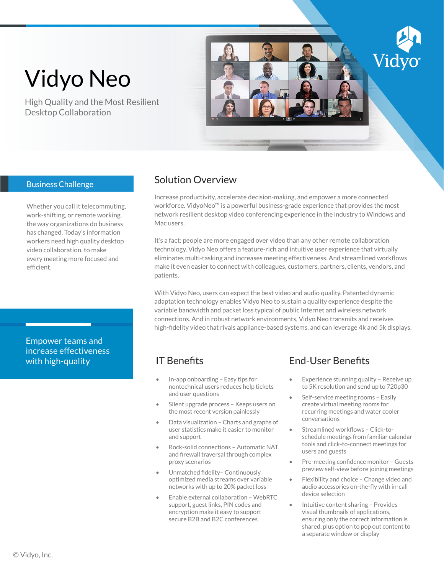# Vidyo Neo

High Quality and the Most Resilient Desktop Collaboration



#### Business Challenge

Whether you call it telecommuting, work-shifting, or remote working, the way organizations do business has changed. Today's information workers need high quality desktop video collaboration, to make every meeting more focused and efficient.

Empower teams and increase effectiveness with high-quality

### Solution Overview

Increase productivity, accelerate decision-making, and empower a more connected workforce. VidyoNeo™ is a powerful business-grade experience that provides the most network resilient desktop video conferencing experience in the industry to Windows and Mac users.

It's a fact: people are more engaged over video than any other remote collaboration technology. Vidyo Neo offers a feature-rich and intuitive user experience that virtually eliminates multi-tasking and increases meeting effectiveness. And streamlined workflows make it even easier to connect with colleagues, customers, partners, clients, vendors, and patients.

With Vidyo Neo, users can expect the best video and audio quality. Patented dynamic adaptation technology enables Vidyo Neo to sustain a quality experience despite the variable bandwidth and packet loss typical of public Internet and wireless network connections. And in robust network environments, Vidyo Neo transmits and receives high-fidelity video that rivals appliance-based systems, and can leverage 4k and 5k displays.

# IT Benefits

- In-app onboarding Easy tips for nontechnical users reduces help tickets and user questions
- Silent upgrade process Keeps users on the most recent version painlessly
- Data visualization Charts and graphs of user statistics make it easier to monitor and support
- Rock-solid connections Automatic NAT and firewall traversal through complex proxy scenarios
- Unmatched fidelity– Continuously optimized media streams over variable networks with up to 20% packet loss
- Enable external collaboration WebRTC support, guest links, PIN codes and encryption make it easy to support secure B2B and B2C conferences

# End-User Benefits

- Experience stunning quality Receive up to 5K resolution and send up to 720p30
- Self-service meeting rooms Easily create virtual meeting rooms for recurring meetings and water cooler conversations
- Streamlined workflows Click-toschedule meetings from familiar calendar tools and click-to-connect meetings for users and guests
- Pre-meeting confidence monitor Guests preview self-view before joining meetings
- Flexibility and choice Change video and audio accessories on-the-fly with in-call device selection
- Intuitive content sharing Provides visual thumbnails of applications, ensuring only the correct information is shared, plus option to pop out content to a separate window or display